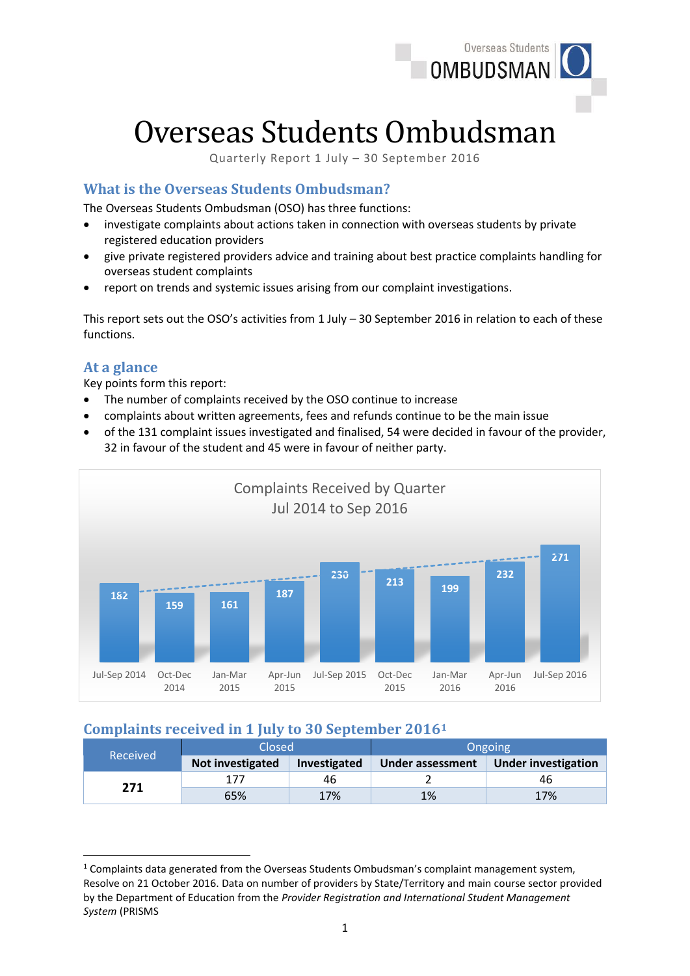

# Overseas Students Ombudsman

Quarterly Report 1 July – 30 September 2016

# **What is the Overseas Students Ombudsman?**

The Overseas Students Ombudsman (OSO) has three functions:

- investigate complaints about actions taken in connection with overseas students by private registered education providers
- give private registered providers advice and training about best practice complaints handling for overseas student complaints
- report on trends and systemic issues arising from our complaint investigations.

This report sets out the OSO's activities from  $1$  July  $-30$  September 2016 in relation to each of these functions.

### **At a glance**

Key points form this report:

- The number of complaints received by the OSO continue to increase
- complaints about written agreements, fees and refunds continue to be the main issue
- of the 131 complaint issues investigated and finalised, 54 were decided in favour of the provider, 32 in favour of the student and 45 were in favour of neither party.



# **Complaints received in 1 July to 30 September 2016<sup>1</sup>**

| Received | Closed           |              | Ongoing          |                            |  |
|----------|------------------|--------------|------------------|----------------------------|--|
|          | Not investigated | Investigated | Under assessment | <b>Under investigation</b> |  |
| 271      |                  | 46           |                  | 46                         |  |
|          | 65%              | 17%          | 1%               | 17%                        |  |

**<sup>.</sup>**  $1$  Complaints data generated from the Overseas Students Ombudsman's complaint management system, Resolve on 21 October 2016. Data on number of providers by State/Territory and main course sector provided by the Department of Education from the *Provider Registration and International Student Management System* (PRISMS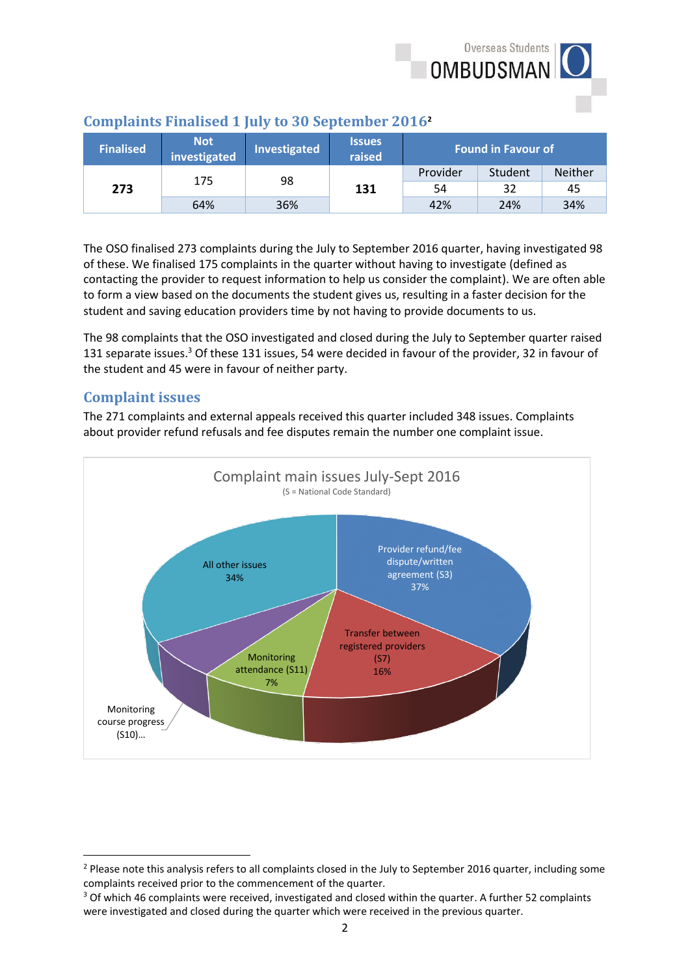

| <b>Finalised</b> | <b>Not</b><br>investigated | Investigated | <b>Issues</b><br>raised | <b>Found in Favour of</b> |         |                |
|------------------|----------------------------|--------------|-------------------------|---------------------------|---------|----------------|
| 273              | 175                        |              | 98<br>131               | Provider                  | Student | <b>Neither</b> |
|                  |                            |              |                         | 54                        | 32      | 45             |
|                  | 64%                        | 36%          |                         | 42%                       | 24%     | 34%            |

## **Complaints Finalised 1 July to 30 September 2016<sup>2</sup>**

The OSO finalised 273 complaints during the July to September 2016 quarter, having investigated 98 of these. We finalised 175 complaints in the quarter without having to investigate (defined as contacting the provider to request information to help us consider the complaint). We are often able to form a view based on the documents the student gives us, resulting in a faster decision for the student and saving education providers time by not having to provide documents to us.

The 98 complaints that the OSO investigated and closed during the July to September quarter raised 131 separate issues. <sup>3</sup> Of these 131 issues, 54 were decided in favour of the provider, 32 in favour of the student and 45 were in favour of neither party.

# **Complaint issues**

**.** 

The 271 complaints and external appeals received this quarter included 348 issues. Complaints about provider refund refusals and fee disputes remain the number one complaint issue.



 $2$  Please note this analysis refers to all complaints closed in the July to September 2016 quarter, including some complaints received prior to the commencement of the quarter.

<sup>&</sup>lt;sup>3</sup> Of which 46 complaints were received, investigated and closed within the quarter. A further 52 complaints were investigated and closed during the quarter which were received in the previous quarter.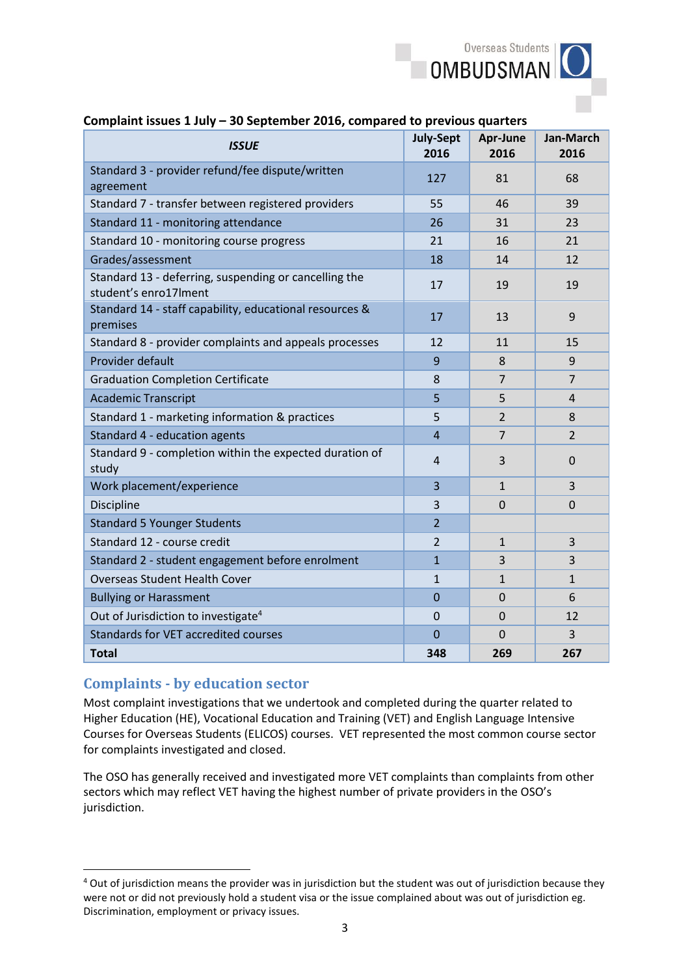

| So september 2010, compared to pre-<br><b>ISSUE</b>                            | <b>July-Sept</b><br>2016 | Apr-June<br>2016 | Jan-March<br>2016 |
|--------------------------------------------------------------------------------|--------------------------|------------------|-------------------|
| Standard 3 - provider refund/fee dispute/written<br>agreement                  | 127                      | 81               | 68                |
| Standard 7 - transfer between registered providers                             | 55                       | 46               | 39                |
| Standard 11 - monitoring attendance                                            | 26                       | 31               | 23                |
| Standard 10 - monitoring course progress                                       | 21                       | 16               | 21                |
| Grades/assessment                                                              | 18                       | 14               | 12                |
| Standard 13 - deferring, suspending or cancelling the<br>student's enro17Iment | 17                       | 19               | 19                |
| Standard 14 - staff capability, educational resources &<br>premises            | 17                       | 13               | 9                 |
| Standard 8 - provider complaints and appeals processes                         | 12                       | 11               | 15                |
| Provider default                                                               | 9                        | 8                | 9                 |
| <b>Graduation Completion Certificate</b>                                       | 8                        | $\overline{7}$   | $\overline{7}$    |
| <b>Academic Transcript</b>                                                     | 5                        | 5                | $\overline{4}$    |
| Standard 1 - marketing information & practices                                 | 5                        | $\overline{2}$   | 8                 |
| Standard 4 - education agents                                                  | $\overline{4}$           | $\overline{7}$   | $\overline{2}$    |
| Standard 9 - completion within the expected duration of<br>study               | $\overline{4}$           | 3                | $\Omega$          |
| Work placement/experience                                                      | 3                        | $\mathbf{1}$     | $\overline{3}$    |
| <b>Discipline</b>                                                              | 3                        | $\overline{0}$   | $\overline{0}$    |
| <b>Standard 5 Younger Students</b>                                             | $\overline{2}$           |                  |                   |
| Standard 12 - course credit                                                    | $\overline{2}$           | $\mathbf{1}$     | 3                 |
| Standard 2 - student engagement before enrolment                               | $\overline{1}$           | 3                | $\overline{3}$    |
| <b>Overseas Student Health Cover</b>                                           | $\mathbf{1}$             | $\mathbf{1}$     | $\mathbf{1}$      |
| <b>Bullying or Harassment</b>                                                  | $\overline{0}$           | $\mathbf 0$      | 6                 |
| Out of Jurisdiction to investigate <sup>4</sup>                                | $\mathbf 0$              | $\overline{0}$   | 12                |
| <b>Standards for VET accredited courses</b>                                    | 0                        | $\mathbf 0$      | 3                 |
| <b>Total</b>                                                                   | 348                      | 269              | 267               |

#### **Complaint issues 1 July – 30 September 2016, compared to previous quarters**

## **Complaints - by education sector**

1

Most complaint investigations that we undertook and completed during the quarter related to Higher Education (HE), Vocational Education and Training (VET) and English Language Intensive Courses for Overseas Students (ELICOS) courses. VET represented the most common course sector for complaints investigated and closed.

The OSO has generally received and investigated more VET complaints than complaints from other sectors which may reflect VET having the highest number of private providers in the OSO's jurisdiction.

<sup>&</sup>lt;sup>4</sup> Out of jurisdiction means the provider was in jurisdiction but the student was out of jurisdiction because they were not or did not previously hold a student visa or the issue complained about was out of jurisdiction eg. Discrimination, employment or privacy issues.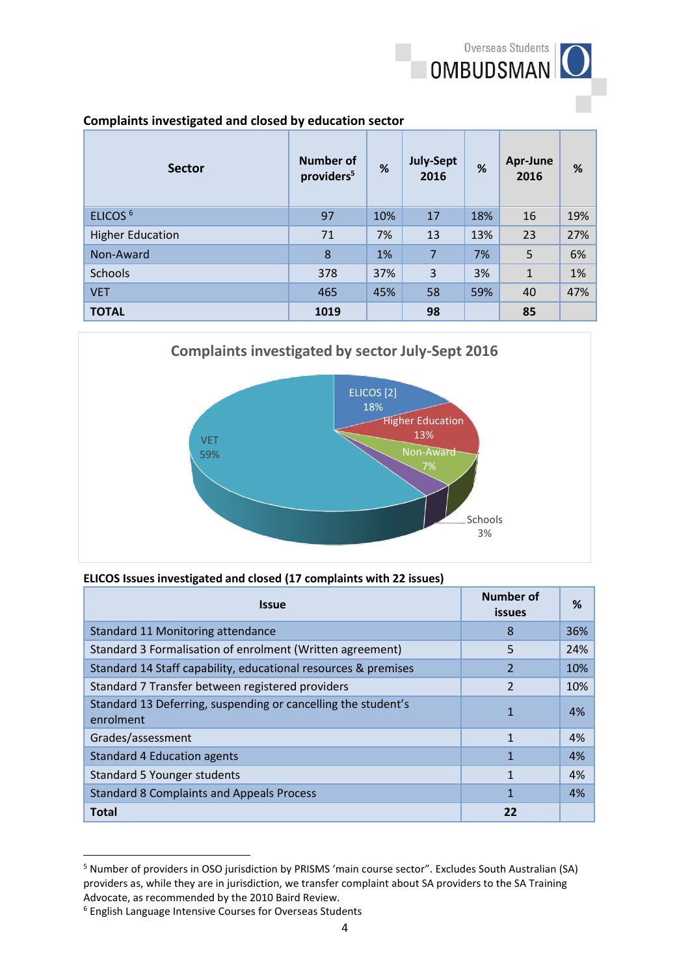

#### **Complaints investigated and closed by education sector**

| <b>Sector</b>           | <b>Number of</b><br>providers <sup>5</sup> | %   | <b>July-Sept</b><br>2016 | %   | Apr-June<br>2016 | %   |
|-------------------------|--------------------------------------------|-----|--------------------------|-----|------------------|-----|
| ELICOS <sup>6</sup>     | 97                                         | 10% | 17                       | 18% | 16               | 19% |
| <b>Higher Education</b> | 71                                         | 7%  | 13                       | 13% | 23               | 27% |
| Non-Award               | 8                                          | 1%  | 7                        | 7%  | 5                | 6%  |
| Schools                 | 378                                        | 37% | 3                        | 3%  | $\mathbf{1}$     | 1%  |
| <b>VET</b>              | 465                                        | 45% | 58                       | 59% | 40               | 47% |
| <b>TOTAL</b>            | 1019                                       |     | 98                       |     | 85               |     |



#### **ELICOS Issues investigated and closed (17 complaints with 22 issues)**

| <b>Issue</b>                                                               | Number of<br><b>issues</b> | %   |
|----------------------------------------------------------------------------|----------------------------|-----|
| Standard 11 Monitoring attendance                                          | 8                          | 36% |
| Standard 3 Formalisation of enrolment (Written agreement)                  | 5                          | 24% |
| Standard 14 Staff capability, educational resources & premises             | 2                          | 10% |
| Standard 7 Transfer between registered providers                           | $\overline{2}$             | 10% |
| Standard 13 Deferring, suspending or cancelling the student's<br>enrolment | $\mathbf 1$                | 4%  |
| Grades/assessment                                                          | 1                          | 4%  |
| <b>Standard 4 Education agents</b>                                         | 1                          | 4%  |
| <b>Standard 5 Younger students</b>                                         | 1                          | 4%  |
| <b>Standard 8 Complaints and Appeals Process</b>                           | 1                          | 4%  |
| <b>Total</b>                                                               | 22                         |     |

<sup>5</sup> Number of providers in OSO jurisdiction by PRISMS 'main course sector". Excludes South Australian (SA) providers as, while they are in jurisdiction, we transfer complaint about SA providers to the SA Training Advocate, as recommended by the 2010 Baird Review.

**.** 

<sup>6</sup> English Language Intensive Courses for Overseas Students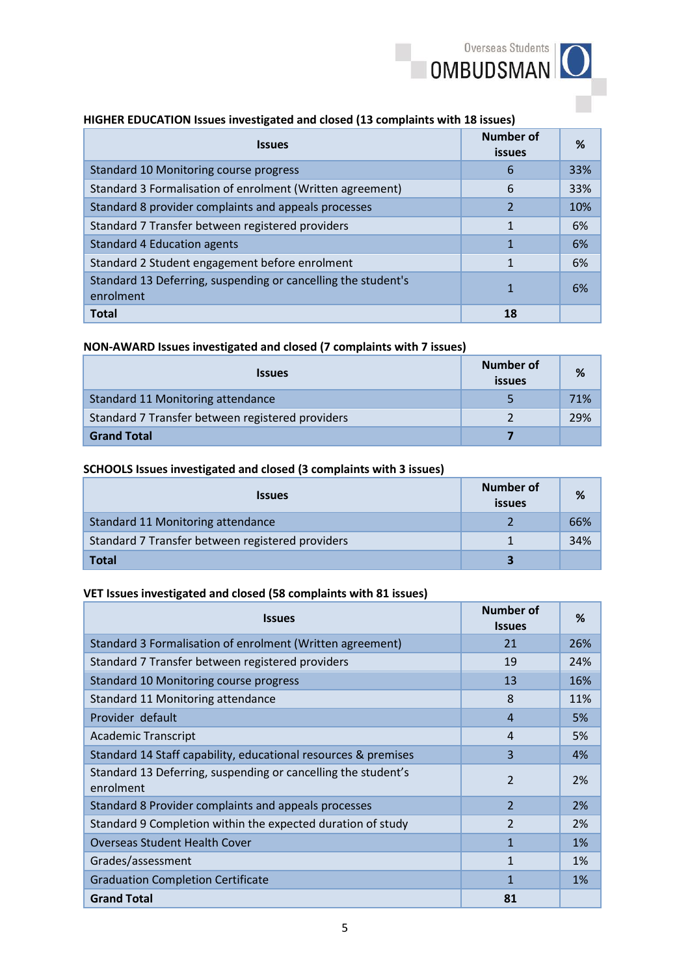#### **HIGHER EDUCATION Issues investigated and closed (13 complaints with 18 issues)**

| <b>Issues</b>                                                              | <b>Number of</b><br><b>issues</b> | ℅   |
|----------------------------------------------------------------------------|-----------------------------------|-----|
| Standard 10 Monitoring course progress                                     | 6                                 | 33% |
| Standard 3 Formalisation of enrolment (Written agreement)                  | 6                                 | 33% |
| Standard 8 provider complaints and appeals processes                       | $\overline{2}$                    | 10% |
| Standard 7 Transfer between registered providers                           | 1                                 | 6%  |
| <b>Standard 4 Education agents</b>                                         | 1                                 | 6%  |
| Standard 2 Student engagement before enrolment                             |                                   | 6%  |
| Standard 13 Deferring, suspending or cancelling the student's<br>enrolment | 1                                 | 6%  |
| <b>Total</b>                                                               | 18                                |     |

#### **NON-AWARD Issues investigated and closed (7 complaints with 7 issues)**

| <i><b>Issues</b></i>                             | Number of<br><b>issues</b> | %   |
|--------------------------------------------------|----------------------------|-----|
| Standard 11 Monitoring attendance                |                            | 71% |
| Standard 7 Transfer between registered providers |                            | 29% |
| <b>Grand Total</b>                               |                            |     |

#### **SCHOOLS Issues investigated and closed (3 complaints with 3 issues)**

| <b>Issues</b>                                    | Number of<br>issues | %   |
|--------------------------------------------------|---------------------|-----|
| <b>Standard 11 Monitoring attendance</b>         |                     | 66% |
| Standard 7 Transfer between registered providers |                     | 34% |
| <b>Total</b>                                     |                     |     |

#### **VET Issues investigated and closed (58 complaints with 81 issues)**

| <b>Issues</b>                                                              | <b>Number of</b><br><b>Issues</b> | ℅     |
|----------------------------------------------------------------------------|-----------------------------------|-------|
| Standard 3 Formalisation of enrolment (Written agreement)                  | 21                                | 26%   |
| Standard 7 Transfer between registered providers                           | 19                                | 24%   |
| Standard 10 Monitoring course progress                                     | 13                                | 16%   |
| Standard 11 Monitoring attendance                                          | 8                                 | 11%   |
| Provider default                                                           | $\overline{a}$                    | 5%    |
| <b>Academic Transcript</b>                                                 | $\boldsymbol{\Lambda}$            | 5%    |
| Standard 14 Staff capability, educational resources & premises             | 3                                 | 4%    |
| Standard 13 Deferring, suspending or cancelling the student's<br>enrolment | $\overline{2}$                    | 2%    |
| Standard 8 Provider complaints and appeals processes                       | $\overline{2}$                    | 2%    |
| Standard 9 Completion within the expected duration of study                | $\mathfrak{p}$                    | 2%    |
| <b>Overseas Student Health Cover</b>                                       | 1                                 | 1%    |
| Grades/assessment                                                          | 1                                 | 1%    |
| <b>Graduation Completion Certificate</b>                                   | 1                                 | $1\%$ |
| <b>Grand Total</b>                                                         | 81                                |       |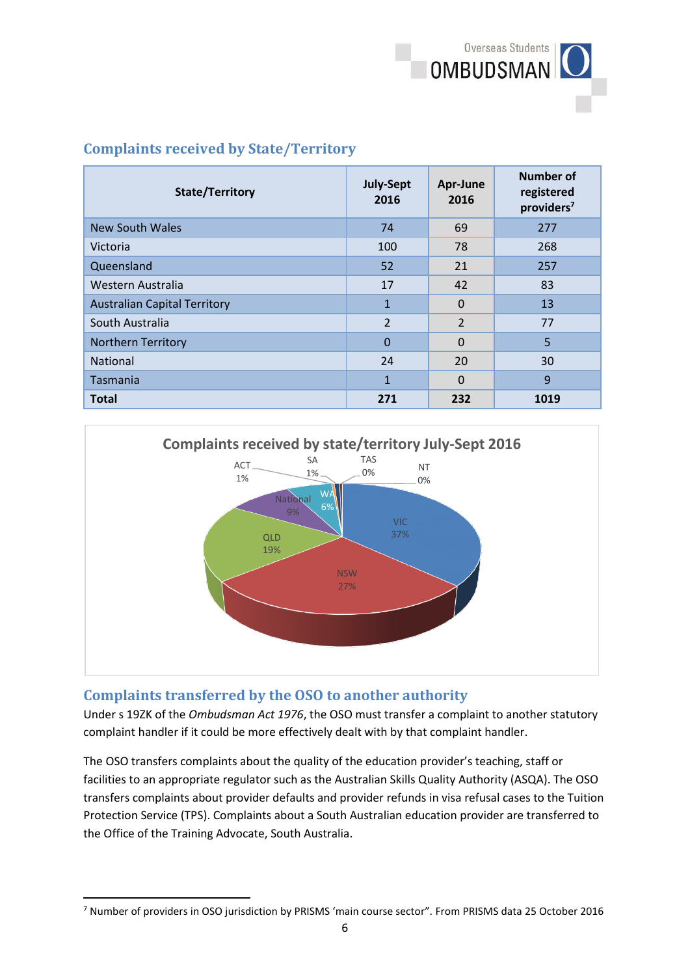

# **Complaints received by State/Territory**

| <b>State/Territory</b>              | <b>July-Sept</b><br>2016 | Apr-June<br>2016 | <b>Number of</b><br>registered<br>providers <sup>7</sup> |
|-------------------------------------|--------------------------|------------------|----------------------------------------------------------|
| <b>New South Wales</b>              | 74                       | 69               | 277                                                      |
| Victoria                            | 100                      | 78               | 268                                                      |
| Queensland                          | 52                       | 21               | 257                                                      |
| Western Australia                   | 17                       | 42               | 83                                                       |
| <b>Australian Capital Territory</b> | $\mathbf{1}$             | $\Omega$         | 13                                                       |
| South Australia                     | $\overline{2}$           | $\overline{2}$   | 77                                                       |
| Northern Territory                  | $\Omega$                 | $\Omega$         | 5                                                        |
| National                            | 24                       | 20               | 30                                                       |
| Tasmania                            | $\mathbf{1}$             | $\Omega$         | $\mathbf{q}$                                             |
| <b>Total</b>                        | 271                      | 232              | 1019                                                     |



# **Complaints transferred by the OSO to another authority**

Under s 19ZK of the *Ombudsman Act 1976*, the OSO must transfer a complaint to another statutory complaint handler if it could be more effectively dealt with by that complaint handler.

The OSO transfers complaints about the quality of the education provider's teaching, staff or facilities to an appropriate regulator such as the Australian Skills Quality Authority (ASQA). The OSO transfers complaints about provider defaults and provider refunds in visa refusal cases to the Tuition Protection Service (TPS). Complaints about a South Australian education provider are transferred to the Office of the Training Advocate, South Australia.

<sup>1</sup> <sup>7</sup> Number of providers in OSO jurisdiction by PRISMS 'main course sector". From PRISMS data 25 October 2016